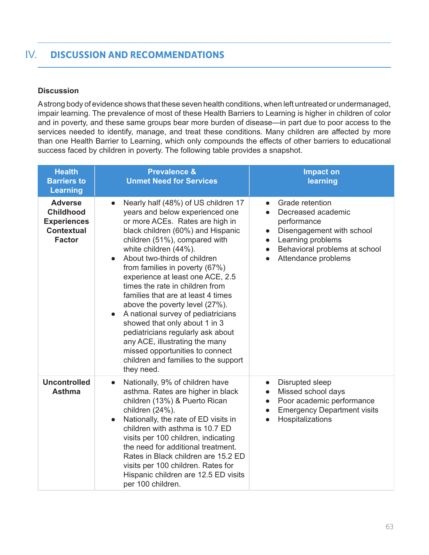### **Discussion**

A strong body of evidence shows that these seven health conditions, when left untreated or undermanaged, impair learning. The prevalence of most of these Health Barriers to Learning is higher in children of color and in poverty, and these same groups bear more burden of disease—in part due to poor access to the services needed to identify, manage, and treat these conditions. Many children are affected by more than one Health Barrier to Learning, which only compounds the effects of other barriers to educational success faced by children in poverty. The following table provides a snapshot.

| <b>Health</b><br><b>Barriers to</b><br><b>Learning</b>                                         | <b>Prevalence &amp;</b><br><b>Unmet Need for Services</b>                                                                                                                                                                                                                                                                                                                                                                                                                                                                                                                                                                                                                                  | <b>Impact on</b><br>learning                                                                                                                                                                                                                 |
|------------------------------------------------------------------------------------------------|--------------------------------------------------------------------------------------------------------------------------------------------------------------------------------------------------------------------------------------------------------------------------------------------------------------------------------------------------------------------------------------------------------------------------------------------------------------------------------------------------------------------------------------------------------------------------------------------------------------------------------------------------------------------------------------------|----------------------------------------------------------------------------------------------------------------------------------------------------------------------------------------------------------------------------------------------|
| <b>Adverse</b><br><b>Childhood</b><br><b>Experiences</b><br><b>Contextual</b><br><b>Factor</b> | Nearly half (48%) of US children 17<br>$\bullet$<br>years and below experienced one<br>or more ACEs. Rates are high in<br>black children (60%) and Hispanic<br>children (51%), compared with<br>white children (44%).<br>About two-thirds of children<br>$\bullet$<br>from families in poverty (67%)<br>experience at least one ACE, 2.5<br>times the rate in children from<br>families that are at least 4 times<br>above the poverty level (27%).<br>A national survey of pediatricians<br>showed that only about 1 in 3<br>pediatricians regularly ask about<br>any ACE, illustrating the many<br>missed opportunities to connect<br>children and families to the support<br>they need. | Grade retention<br>$\bullet$<br>Decreased academic<br>$\bullet$<br>performance<br>Disengagement with school<br>$\bullet$<br>Learning problems<br>$\bullet$<br>Behavioral problems at school<br>$\bullet$<br>Attendance problems<br>$\bullet$ |
| <b>Uncontrolled</b><br><b>Asthma</b>                                                           | Nationally, 9% of children have<br>$\bullet$<br>asthma. Rates are higher in black<br>children (13%) & Puerto Rican<br>children (24%).<br>Nationally, the rate of ED visits in<br>$\bullet$<br>children with asthma is 10.7 ED<br>visits per 100 children, indicating<br>the need for additional treatment.<br>Rates in Black children are 15.2 ED<br>visits per 100 children. Rates for<br>Hispanic children are 12.5 ED visits<br>per 100 children.                                                                                                                                                                                                                                       | Disrupted sleep<br>$\bullet$<br>Missed school days<br>$\bullet$<br>Poor academic performance<br>$\bullet$<br><b>Emergency Department visits</b><br>$\bullet$<br>Hospitalizations<br>$\bullet$                                                |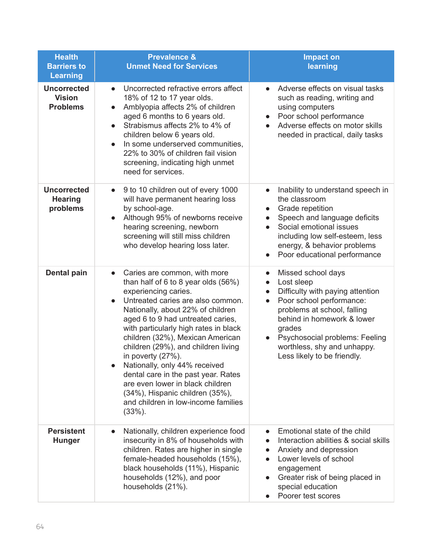| <b>Health</b><br><b>Barriers to</b><br><b>Learning</b> | <b>Prevalence &amp;</b><br><b>Unmet Need for Services</b>                                                                                                                                                                                                                                                                                                                                                                                                                                                                                                                         | <b>Impact on</b><br>learning                                                                                                                                                                                                                                                                                                |
|--------------------------------------------------------|-----------------------------------------------------------------------------------------------------------------------------------------------------------------------------------------------------------------------------------------------------------------------------------------------------------------------------------------------------------------------------------------------------------------------------------------------------------------------------------------------------------------------------------------------------------------------------------|-----------------------------------------------------------------------------------------------------------------------------------------------------------------------------------------------------------------------------------------------------------------------------------------------------------------------------|
| <b>Uncorrected</b><br><b>Vision</b><br><b>Problems</b> | Uncorrected refractive errors affect<br>$\bullet$<br>18% of 12 to 17 year olds.<br>Amblyopia affects 2% of children<br>aged 6 months to 6 years old.<br>Strabismus affects 2% to 4% of<br>children below 6 years old.<br>In some underserved communities,<br>$\bullet$<br>22% to 30% of children fail vision<br>screening, indicating high unmet<br>need for services.                                                                                                                                                                                                            | Adverse effects on visual tasks<br>$\bullet$<br>such as reading, writing and<br>using computers<br>Poor school performance<br>Adverse effects on motor skills<br>needed in practical, daily tasks                                                                                                                           |
| <b>Uncorrected</b><br><b>Hearing</b><br>problems       | 9 to 10 children out of every 1000<br>$\bullet$<br>will have permanent hearing loss<br>by school-age.<br>Although 95% of newborns receive<br>hearing screening, newborn<br>screening will still miss children<br>who develop hearing loss later.                                                                                                                                                                                                                                                                                                                                  | Inability to understand speech in<br>$\bullet$<br>the classroom<br>Grade repetition<br>$\bullet$<br>Speech and language deficits<br>$\bullet$<br>Social emotional issues<br>$\bullet$<br>including low self-esteem, less<br>energy, & behavior problems<br>Poor educational performance<br>$\bullet$                        |
| <b>Dental pain</b>                                     | Caries are common, with more<br>$\bullet$<br>than half of 6 to 8 year olds (56%)<br>experiencing caries.<br>Untreated caries are also common.<br>$\bullet$<br>Nationally, about 22% of children<br>aged 6 to 9 had untreated caries,<br>with particularly high rates in black<br>children (32%), Mexican American<br>children (29%), and children living<br>in poverty (27%).<br>Nationally, only 44% received<br>dental care in the past year. Rates<br>are even lower in black children<br>(34%), Hispanic children (35%),<br>and children in low-income families<br>$(33\%)$ . | Missed school days<br>$\bullet$<br>Lost sleep<br>$\bullet$<br>Difficulty with paying attention<br>$\bullet$<br>Poor school performance:<br>$\bullet$<br>problems at school, falling<br>behind in homework & lower<br>grades<br>Psychosocial problems: Feeling<br>worthless, shy and unhappy.<br>Less likely to be friendly. |
| <b>Persistent</b><br><b>Hunger</b>                     | Nationally, children experience food<br>$\bullet$<br>insecurity in 8% of households with<br>children. Rates are higher in single<br>female-headed households (15%),<br>black households (11%), Hispanic<br>households (12%), and poor<br>households (21%).                                                                                                                                                                                                                                                                                                                        | Emotional state of the child<br>Interaction abilities & social skills<br>Anxiety and depression<br>Lower levels of school<br>engagement<br>Greater risk of being placed in<br>special education<br>Poorer test scores                                                                                                       |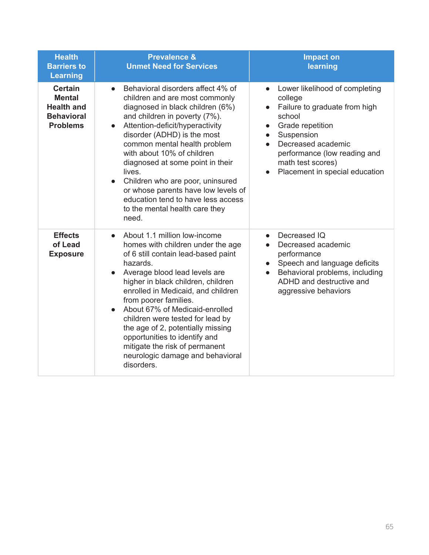| <b>Health</b><br><b>Barriers to</b><br><b>Learning</b>                                       | <b>Prevalence &amp;</b><br><b>Unmet Need for Services</b>                                                                                                                                                                                                                                                                                                                                                                                                                                                            | <b>Impact on</b><br>learning                                                                                                                                                                                                                                                            |
|----------------------------------------------------------------------------------------------|----------------------------------------------------------------------------------------------------------------------------------------------------------------------------------------------------------------------------------------------------------------------------------------------------------------------------------------------------------------------------------------------------------------------------------------------------------------------------------------------------------------------|-----------------------------------------------------------------------------------------------------------------------------------------------------------------------------------------------------------------------------------------------------------------------------------------|
| <b>Certain</b><br><b>Mental</b><br><b>Health and</b><br><b>Behavioral</b><br><b>Problems</b> | Behavioral disorders affect 4% of<br>$\bullet$<br>children and are most commonly<br>diagnosed in black children (6%)<br>and children in poverty (7%).<br>Attention-deficit/hyperactivity<br>$\bullet$<br>disorder (ADHD) is the most<br>common mental health problem<br>with about 10% of children<br>diagnosed at some point in their<br>lives.<br>Children who are poor, uninsured<br>or whose parents have low levels of<br>education tend to have less access<br>to the mental health care they<br>need.         | Lower likelihood of completing<br>college<br>Failure to graduate from high<br>$\bullet$<br>school<br>Grade repetition<br>$\bullet$<br>Suspension<br>$\bullet$<br>Decreased academic<br>$\bullet$<br>performance (low reading and<br>math test scores)<br>Placement in special education |
| <b>Effects</b><br>of Lead<br><b>Exposure</b>                                                 | About 1.1 million low-income<br>$\bullet$<br>homes with children under the age<br>of 6 still contain lead-based paint<br>hazards.<br>Average blood lead levels are<br>higher in black children, children<br>enrolled in Medicaid, and children<br>from poorer families.<br>About 67% of Medicaid-enrolled<br>$\bullet$<br>children were tested for lead by<br>the age of 2, potentially missing<br>opportunities to identify and<br>mitigate the risk of permanent<br>neurologic damage and behavioral<br>disorders. | Decreased IQ<br>$\bullet$<br>Decreased academic<br>performance<br>Speech and language deficits<br>Behavioral problems, including<br>ADHD and destructive and<br>aggressive behaviors                                                                                                    |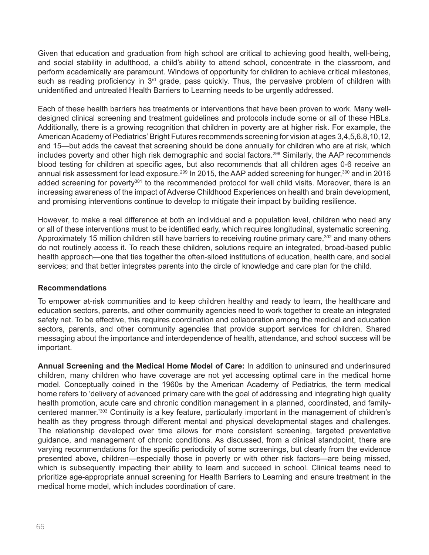Given that education and graduation from high school are critical to achieving good health, well-being, and social stability in adulthood, a child's ability to attend school, concentrate in the classroom, and perform academically are paramount. Windows of opportunity for children to achieve critical milestones, such as reading proficiency in 3<sup>rd</sup> grade, pass quickly. Thus, the pervasive problem of children with unidentified and untreated Health Barriers to Learning needs to be urgently addressed.

Each of these health barriers has treatments or interventions that have been proven to work. Many welldesigned clinical screening and treatment guidelines and protocols include some or all of these HBLs. Additionally, there is a growing recognition that children in poverty are at higher risk. For example, the American Academy of Pediatrics' Bright Futures recommends screening for vision at ages 3,4,5,6,8,10,12, and 15—but adds the caveat that screening should be done annually for children who are at risk, which includes poverty and other high risk demographic and social factors.<sup>298</sup> Similarly, the AAP recommends blood testing for children at specific ages, but also recommends that all children ages 0-6 receive an annual risk assessment for lead exposure.<sup>299</sup> In 2015, the AAP added screening for hunger,<sup>300</sup> and in 2016 added screening for poverty<sup>301</sup> to the recommended protocol for well child visits. Moreover, there is an increasing awareness of the impact of Adverse Childhood Experiences on health and brain development, and promising interventions continue to develop to mitigate their impact by building resilience.

However, to make a real difference at both an individual and a population level, children who need any or all of these interventions must to be identified early, which requires longitudinal, systematic screening. Approximately 15 million children still have barriers to receiving routine primary care,<sup>302</sup> and many others do not routinely access it. To reach these children, solutions require an integrated, broad-based public health approach—one that ties together the often-siloed institutions of education, health care, and social services; and that better integrates parents into the circle of knowledge and care plan for the child.

#### **Recommendations**

To empower at-risk communities and to keep children healthy and ready to learn, the healthcare and education sectors, parents, and other community agencies need to work together to create an integrated safety net. To be effective, this requires coordination and collaboration among the medical and education sectors, parents, and other community agencies that provide support services for children. Shared messaging about the importance and interdependence of health, attendance, and school success will be important.

**Annual Screening and the Medical Home Model of Care:** In addition to uninsured and underinsured children, many children who have coverage are not yet accessing optimal care in the medical home model. Conceptually coined in the 1960s by the American Academy of Pediatrics, the term medical home refers to 'delivery of advanced primary care with the goal of addressing and integrating high quality health promotion, acute care and chronic condition management in a planned, coordinated, and familycentered manner.<sup>'303</sup> Continuity is a key feature, particularly important in the management of children's health as they progress through different mental and physical developmental stages and challenges. The relationship developed over time allows for more consistent screening, targeted preventative guidance, and management of chronic conditions. As discussed, from a clinical standpoint, there are varying recommendations for the specific periodicity of some screenings, but clearly from the evidence presented above, children—especially those in poverty or with other risk factors—are being missed, which is subsequently impacting their ability to learn and succeed in school. Clinical teams need to prioritize age-appropriate annual screening for Health Barriers to Learning and ensure treatment in the medical home model, which includes coordination of care.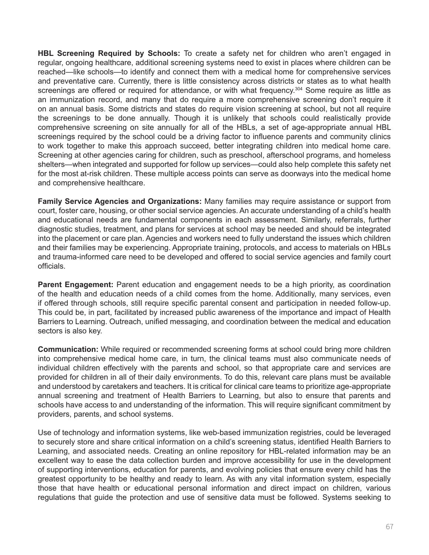**HBL Screening Required by Schools:** To create a safety net for children who aren't engaged in regular, ongoing healthcare, additional screening systems need to exist in places where children can be reached—like schools—to identify and connect them with a medical home for comprehensive services and preventative care. Currently, there is little consistency across districts or states as to what health screenings are offered or required for attendance, or with what frequency.<sup>304</sup> Some require as little as an immunization record, and many that do require a more comprehensive screening don't require it on an annual basis. Some districts and states do require vision screening at school, but not all require the screenings to be done annually. Though it is unlikely that schools could realistically provide comprehensive screening on site annually for all of the HBLs, a set of age-appropriate annual HBL screenings required by the school could be a driving factor to influence parents and community clinics to work together to make this approach succeed, better integrating children into medical home care. Screening at other agencies caring for children, such as preschool, afterschool programs, and homeless shelters—when integrated and supported for follow up services—could also help complete this safety net for the most at-risk children. These multiple access points can serve as doorways into the medical home and comprehensive healthcare.

**Family Service Agencies and Organizations:** Many families may require assistance or support from court, foster care, housing, or other social service agencies. An accurate understanding of a child's health and educational needs are fundamental components in each assessment. Similarly, referrals, further diagnostic studies, treatment, and plans for services at school may be needed and should be integrated into the placement or care plan. Agencies and workers need to fully understand the issues which children and their families may be experiencing. Appropriate training, protocols, and access to materials on HBLs and trauma-informed care need to be developed and offered to social service agencies and family court officials.

**Parent Engagement:** Parent education and engagement needs to be a high priority, as coordination of the health and education needs of a child comes from the home. Additionally, many services, even if offered through schools, still require specific parental consent and participation in needed follow-up. This could be, in part, facilitated by increased public awareness of the importance and impact of Health Barriers to Learning. Outreach, unified messaging, and coordination between the medical and education sectors is also key.

**Communication:** While required or recommended screening forms at school could bring more children into comprehensive medical home care, in turn, the clinical teams must also communicate needs of individual children effectively with the parents and school, so that appropriate care and services are provided for children in all of their daily environments. To do this, relevant care plans must be available and understood by caretakers and teachers. It is critical for clinical care teams to prioritize age-appropriate annual screening and treatment of Health Barriers to Learning, but also to ensure that parents and schools have access to and understanding of the information. This will require significant commitment by providers, parents, and school systems.

Use of technology and information systems, like web-based immunization registries, could be leveraged to securely store and share critical information on a child's screening status, identified Health Barriers to Learning, and associated needs. Creating an online repository for HBL-related information may be an excellent way to ease the data collection burden and improve accessibility for use in the development of supporting interventions, education for parents, and evolving policies that ensure every child has the greatest opportunity to be healthy and ready to learn. As with any vital information system, especially those that have health or educational personal information and direct impact on children, various regulations that guide the protection and use of sensitive data must be followed. Systems seeking to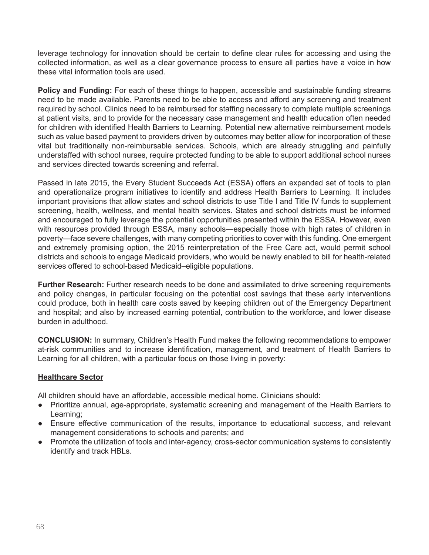leverage technology for innovation should be certain to define clear rules for accessing and using the collected information, as well as a clear governance process to ensure all parties have a voice in how these vital information tools are used.

**Policy and Funding:** For each of these things to happen, accessible and sustainable funding streams need to be made available. Parents need to be able to access and afford any screening and treatment required by school. Clinics need to be reimbursed for staffing necessary to complete multiple screenings at patient visits, and to provide for the necessary case management and health education often needed for children with identified Health Barriers to Learning. Potential new alternative reimbursement models such as value based payment to providers driven by outcomes may better allow for incorporation of these vital but traditionally non-reimbursable services. Schools, which are already struggling and painfully understaffed with school nurses, require protected funding to be able to support additional school nurses and services directed towards screening and referral.

Passed in late 2015, the Every Student Succeeds Act (ESSA) offers an expanded set of tools to plan and operationalize program initiatives to identify and address Health Barriers to Learning. It includes important provisions that allow states and school districts to use Title I and Title IV funds to supplement screening, health, wellness, and mental health services. States and school districts must be informed and encouraged to fully leverage the potential opportunities presented within the ESSA. However, even with resources provided through ESSA, many schools—especially those with high rates of children in poverty—face severe challenges, with many competing priorities to cover with this funding. One emergent and extremely promising option, the 2015 reinterpretation of the Free Care act, would permit school districts and schools to engage Medicaid providers, who would be newly enabled to bill for health-related services offered to school-based Medicaid–eligible populations.

**Further Research:** Further research needs to be done and assimilated to drive screening requirements and policy changes, in particular focusing on the potential cost savings that these early interventions could produce, both in health care costs saved by keeping children out of the Emergency Department and hospital; and also by increased earning potential, contribution to the workforce, and lower disease burden in adulthood.

**CONCLUSION:** In summary, Children's Health Fund makes the following recommendations to empower at-risk communities and to increase identification, management, and treatment of Health Barriers to Learning for all children, with a particular focus on those living in poverty:

## **Healthcare Sector**

All children should have an affordable, accessible medical home. Clinicians should:

- Prioritize annual, age-appropriate, systematic screening and management of the Health Barriers to Learning;
- Ensure effective communication of the results, importance to educational success, and relevant management considerations to schools and parents; and
- Promote the utilization of tools and inter-agency, cross-sector communication systems to consistently identify and track HBLs.